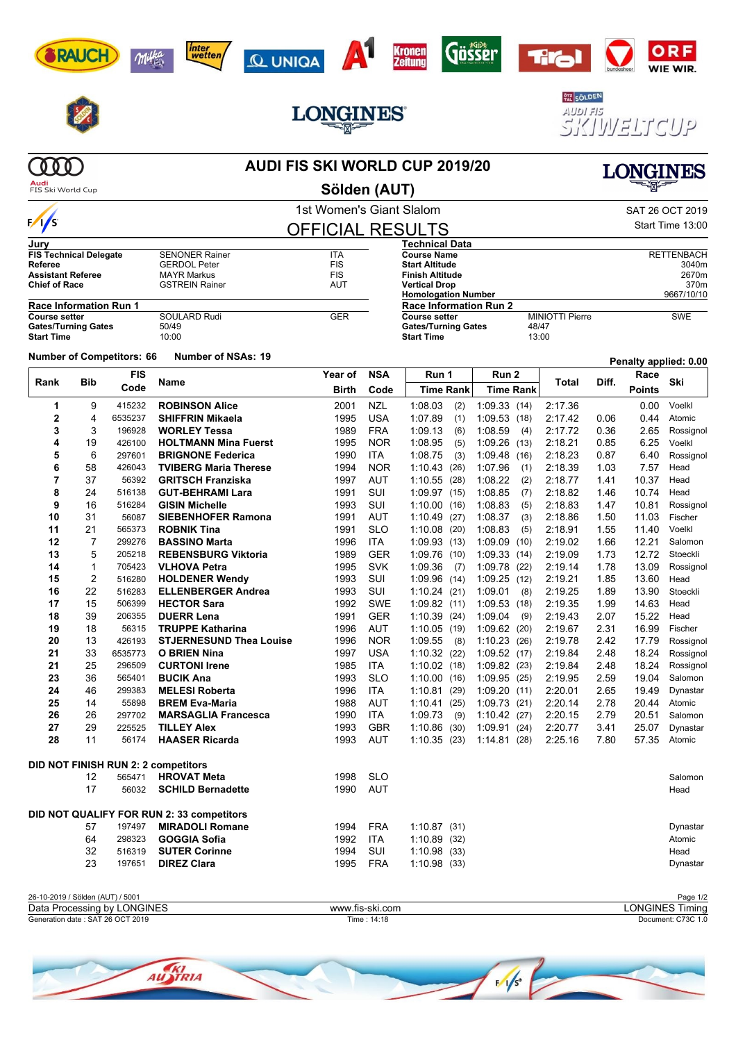# 感过

 $\mathbf{A}^{\mathbf{1}}$ 

**Kronen**<br>Zeitung

Gösser



Milka

RAUCH

**AUDI FIS SKI WORLD CUP 2019/20 Sölden (AUT)**

|                               |                               |                                  |                                           | 1st Women's Giant Slalom |            |                                                    |                  |                        |       |               | SAT 26 OCT 2019       |  |
|-------------------------------|-------------------------------|----------------------------------|-------------------------------------------|--------------------------|------------|----------------------------------------------------|------------------|------------------------|-------|---------------|-----------------------|--|
| $\frac{1}{s}$                 |                               |                                  |                                           | <b>OFFICIAL RESULTS</b>  |            |                                                    |                  |                        |       |               | Start Time 13:00      |  |
| Jurv                          |                               |                                  |                                           |                          |            | Technical Data                                     |                  |                        |       |               |                       |  |
| <b>FIS Technical Delegate</b> |                               |                                  | <b>SENONER Rainer</b>                     | <b>ITA</b>               |            | <b>Course Name</b>                                 |                  | <b>RETTENBACH</b>      |       |               |                       |  |
| <b>Referee</b>                |                               |                                  | <b>GERDOL Peter</b>                       | <b>FIS</b>               |            | <b>Start Altitude</b>                              |                  |                        |       | 3040m         |                       |  |
| <b>Assistant Referee</b>      |                               |                                  | <b>MAYR Markus</b>                        | FIS                      |            | <b>Finish Altitude</b>                             |                  |                        |       |               | 2670m                 |  |
| <b>Chief of Race</b>          |                               |                                  | <b>GSTREIN Rainer</b>                     | <b>AUT</b>               |            | <b>Vertical Drop</b><br><b>Homologation Number</b> |                  | 370m<br>9667/10/10     |       |               |                       |  |
|                               | <b>Race Information Run 1</b> |                                  |                                           |                          |            | Race Information Run 2                             |                  |                        |       |               |                       |  |
| <b>Course setter</b>          |                               |                                  | SOULARD Rudi                              | <b>GER</b>               |            | <b>Course setter</b>                               |                  | <b>MINIOTTI Pierre</b> |       |               | <b>SWE</b>            |  |
| <b>Gates/Turning Gates</b>    |                               |                                  | 50/49                                     |                          |            | <b>Gates/Turning Gates</b><br>48/47                |                  |                        |       |               |                       |  |
| <b>Start Time</b>             |                               |                                  | 10:00                                     |                          |            | <b>Start Time</b>                                  | 13:00            |                        |       |               |                       |  |
|                               |                               | <b>Number of Competitors: 66</b> | <b>Number of NSAs: 19</b>                 |                          |            |                                                    |                  |                        |       |               | Penalty applied: 0.00 |  |
|                               | <b>FIS</b>                    |                                  |                                           | Year of                  | <b>NSA</b> | Run 1<br>Run 2                                     |                  |                        |       | Race          |                       |  |
| Rank                          | Bib                           | Code                             | Name                                      | <b>Birth</b>             | Code       | <b>Time Rank</b>                                   | <b>Time Rank</b> | Total                  | Diff. | <b>Points</b> | Ski                   |  |
| 1                             | 9                             | 415232                           | <b>ROBINSON Alice</b>                     | 2001                     | <b>NZL</b> | 1:08.03<br>(2)                                     | 1:09.33(14)      | 2:17.36                |       | 0.00          | Voelkl                |  |
| $\mathbf{2}$                  | 4                             | 6535237                          | <b>SHIFFRIN Mikaela</b>                   | 1995                     | <b>USA</b> | 1:07.89<br>(1)                                     | 1:09.53(18)      | 2:17.42                | 0.06  | 0.44          | Atomic                |  |
| 3                             | 3                             | 196928                           | <b>WORLEY Tessa</b>                       | 1989                     | <b>FRA</b> | 1:09.13<br>(6)                                     | 1:08.59<br>(4)   | 2:17.72                | 0.36  | 2.65          | Rossignol             |  |
| 4                             | 19                            | 426100                           | <b>HOLTMANN Mina Fuerst</b>               | 1995                     | <b>NOR</b> | 1:08.95<br>(5)                                     | 1:09.26<br>(13)  | 2:18.21                | 0.85  | 6.25          | Voelkl                |  |
| 5                             | 6                             | 297601                           | <b>BRIGNONE Federica</b>                  | 1990                     | ITA        | 1:08.75<br>(3)                                     | 1:09.48<br>(16)  | 2:18.23                | 0.87  | 6.40          | Rossignol             |  |
| 6                             | 58                            | 426043                           | <b>TVIBERG Maria Therese</b>              | 1994                     | <b>NOR</b> | 1:10.43<br>(26)                                    | 1:07.96<br>(1)   | 2:18.39                | 1.03  | 7.57          | Head                  |  |
| 7                             | 37                            | 56392                            | <b>GRITSCH Franziska</b>                  | 1997                     | AUT        | 1:10.55<br>(28)                                    | 1:08.22<br>(2)   | 2:18.77                | 1.41  | 10.37         | Head                  |  |
| 8                             | 24                            | 516138                           | <b>GUT-BEHRAMI Lara</b>                   | 1991                     | SUI        | 1:09.97<br>(15)                                    | 1:08.85<br>(7)   | 2:18.82                | 1.46  | 10.74         | Head                  |  |
| 9                             | 16                            | 516284                           | <b>GISIN Michelle</b>                     | 1993                     | SUI        | 1:10.00<br>(16)                                    | 1:08.83<br>(5)   | 2:18.83                | 1.47  | 10.81         | Rossignol             |  |
| 10                            | 31                            | 56087                            | <b>SIEBENHOFER Ramona</b>                 | 1991                     | AUT        | 1:10.49<br>(27)                                    | 1:08.37<br>(3)   | 2:18.86                | 1.50  | 11.03         | Fischer               |  |
| 11                            | 21                            | 565373                           | <b>ROBNIK Tina</b>                        | 1991                     | <b>SLO</b> | 1:10.08<br>(20)                                    | 1:08.83<br>(5)   | 2:18.91                | 1.55  | 11.40         | Voelkl                |  |
| 12                            | 7                             | 299276                           | <b>BASSINO Marta</b>                      | 1996                     | <b>ITA</b> | 1:09.93<br>(13)                                    | 1:09.09<br>(10)  | 2:19.02                | 1.66  | 12.21         | Salomon               |  |
| 13                            | 5                             | 205218                           | <b>REBENSBURG Viktoria</b>                | 1989                     | <b>GER</b> | 1:09.76<br>(10)                                    | 1:09.33(14)      | 2:19.09                | 1.73  | 12.72         | Stoeckli              |  |
| 14                            | 1                             | 705423                           | <b>VLHOVA Petra</b>                       | 1995                     | <b>SVK</b> | 1:09.36<br>(7)                                     | 1:09.78(22)      | 2:19.14                | 1.78  | 13.09         | Rossignol             |  |
| 15                            | 2                             | 516280                           | <b>HOLDENER Wendy</b>                     | 1993                     | SUI        | 1:09.96<br>(14)                                    | 1:09.25(12)      | 2:19.21                | 1.85  | 13.60         | Head                  |  |
| 16                            | 22                            | 516283                           | <b>ELLENBERGER Andrea</b>                 | 1993                     | SUI        | 1:10.24(21)                                        | 1:09.01<br>(8)   | 2:19.25                | 1.89  | 13.90         | Stoeckli              |  |
| 17                            | 15                            | 506399                           | <b>HECTOR Sara</b>                        | 1992                     | <b>SWE</b> | 1:09.82(11)                                        | 1:09.53<br>(18)  | 2:19.35                | 1.99  | 14.63         | Head                  |  |
| 18                            | 39                            | 206355                           | <b>DUERR Lena</b>                         | 1991                     | <b>GER</b> | 1:10.39<br>(24)                                    | 1:09.04<br>(9)   | 2:19.43                | 2.07  | 15.22         | Head                  |  |
| 19                            | 18                            | 56315                            | <b>TRUPPE Katharina</b>                   | 1996                     | <b>AUT</b> | 1:10.05<br>(19)                                    | 1:09.62(20)      | 2:19.67                | 2.31  | 16.99         | Fischer               |  |
| 20                            | 13                            | 426193                           | <b>STJERNESUND Thea Louise</b>            | 1996                     | <b>NOR</b> | 1:09.55<br>(8)                                     | 1:10.23<br>(26)  | 2:19.78                | 2.42  | 17.79         | Rossignol             |  |
| 21                            | 33                            | 6535773                          | <b>O BRIEN Nina</b>                       | 1997                     | <b>USA</b> | 1:10.32<br>(22)                                    | 1:09.52(17)      | 2:19.84                | 2.48  | 18.24         | Rossignol             |  |
| 21                            | 25                            | 296509                           | <b>CURTONI Irene</b>                      | 1985                     | <b>ITA</b> | 1:10.02(18)                                        | 1:09.82(23)      | 2:19.84                | 2.48  | 18.24         | Rossignol             |  |
| 23                            | 36                            | 565401                           | <b>BUCIK Ana</b>                          | 1993                     | <b>SLO</b> | 1:10.00<br>(16)                                    | 1:09.95(25)      | 2:19.95                | 2.59  | 19.04         | Salomon               |  |
| 24                            | 46                            | 299383                           | <b>MELESI Roberta</b>                     | 1996                     | <b>ITA</b> | 1:10.81<br>(29)                                    | 1:09.20(11)      | 2:20.01                | 2.65  | 19.49         | Dynastar              |  |
| 25                            | 14                            | 55898                            | <b>BREM Eva-Maria</b>                     | 1988                     | AUT        | 1:10.41<br>(25)                                    | 1:09.73(21)      | 2:20.14                | 2.78  | 20.44         | Atomic                |  |
| 26                            | 26                            | 297702                           | <b>MARSAGLIA Francesca</b>                | 1990                     | <b>ITA</b> | 1:09.73<br>(9)                                     | 1:10.42(27)      | 2:20.15                | 2.79  | 20.51         | Salomon               |  |
| 27                            | 29                            | 225525                           | <b>TILLEY Alex</b>                        | 1993                     | <b>GBR</b> | 1:10.86<br>(30)                                    | 1:09.91(24)      | 2:20.77                | 3.41  | 25.07         | Dynastar              |  |
| 28                            | 11                            | 56174                            | <b>HAASER Ricarda</b>                     | 1993                     | AUT        | 1:10.35(23)                                        | 1:14.81(28)      | 2:25.16                | 7.80  | 57.35         | Atomic                |  |
|                               |                               |                                  | DID NOT FINISH RUN 2: 2 competitors       |                          |            |                                                    |                  |                        |       |               |                       |  |
|                               | 12                            | 565471                           | <b>HROVAT Meta</b>                        | 1998                     | <b>SLO</b> |                                                    |                  |                        |       |               | Salomon               |  |
|                               | 17                            | 56032                            | <b>SCHILD Bernadette</b>                  | 1990                     | <b>AUT</b> |                                                    |                  |                        |       |               | Head                  |  |
|                               |                               |                                  |                                           |                          |            |                                                    |                  |                        |       |               |                       |  |
|                               |                               |                                  | DID NOT QUALIFY FOR RUN 2: 33 competitors |                          |            |                                                    |                  |                        |       |               |                       |  |
|                               | 57                            | 197497                           | <b>MIRADOLI Romane</b>                    | 1994                     | <b>FRA</b> | 1:10.87(31)                                        |                  |                        |       |               | Dynastar              |  |
|                               | 64                            | 298323                           | <b>GOGGIA Sofia</b>                       | 1992                     | ITA        | 1:10.89(32)                                        |                  |                        |       |               | Atomic                |  |
|                               | 32                            | 516319                           | <b>SUTER Corinne</b>                      | 1994                     | SUI        | 1:10.98(33)                                        |                  |                        |       |               | Head                  |  |
|                               | 23                            | 197651                           | <b>DIREZ Clara</b>                        | 1995                     | <b>FRA</b> | 1:10.98(33)                                        |                  |                        |       |               | Dynastar              |  |

#### 26-10-2019 / Sölden (AUT) / 5001 Page 1/2<br>
Data Processing by LONGINES **And Act and Act and Act and Act and Act and Act and Act and Act and Act and Act an**<br>
Page 1/2 Generation date : SAT 26 OCT 2019 Time : 14:18 Document: C73C 1.0 Data Processing by LONGINES www.fis-ski.com



SKIWELTCUP **LONGINES** 

欧



**PTZ SÖLDEN** 

בות ופעוג



Q UNIGA

*inter*<br>\_wetten